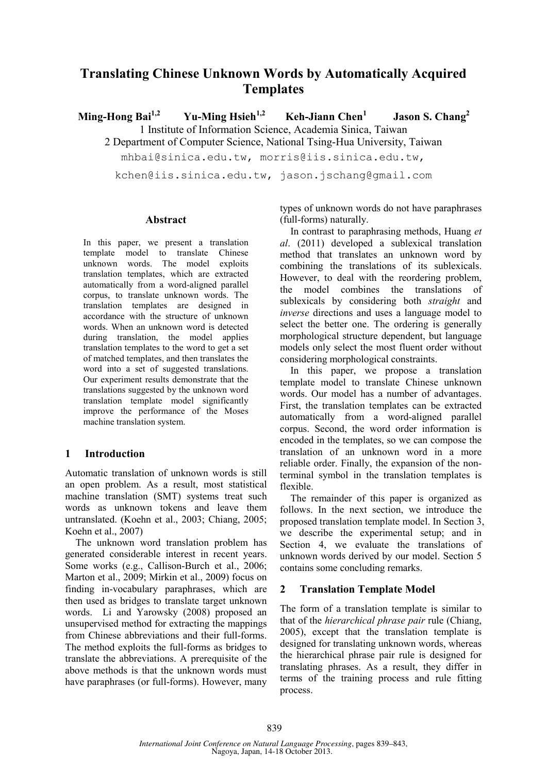# **Translating Chinese Unknown Words by Automatically Acquired Templates**

**Ming-Hong Bai1,2 Yu-Ming Hsieh1,2 Keh-Jiann Chen<sup>1</sup> Jason S. Chang2** 1 Institute of Information Science, Academia Sinica, Taiwan

2 Department of Computer Science, National Tsing-Hua University, Taiwan

mhbai@sinica.edu.tw, morris@iis.sinica.edu.tw,

kchen@iis.sinica.edu.tw, jason.jschang@gmail.com

#### **Abstract**

In this paper, we present a translation template model to translate Chinese unknown words. The model exploits translation templates, which are extracted automatically from a word-aligned parallel corpus, to translate unknown words. The translation templates are designed in accordance with the structure of unknown words. When an unknown word is detected during translation, the model applies translation templates to the word to get a set of matched templates, and then translates the word into a set of suggested translations. Our experiment results demonstrate that the translations suggested by the unknown word translation template model significantly improve the performance of the Moses machine translation system.

## **1 Introduction**

Automatic translation of unknown words is still an open problem. As a result, most statistical machine translation (SMT) systems treat such words as unknown tokens and leave them untranslated. (Koehn et al., 2003; Chiang, 2005; Koehn et al., 2007)

The unknown word translation problem has generated considerable interest in recent years. Some works (e.g., Callison-Burch et al., 2006; Marton et al., 2009; Mirkin et al., 2009) focus on finding in-vocabulary paraphrases, which are then used as bridges to translate target unknown words. Li and Yarowsky (2008) proposed an unsupervised method for extracting the mappings from Chinese abbreviations and their full-forms. The method exploits the full-forms as bridges to translate the abbreviations. A prerequisite of the above methods is that the unknown words must have paraphrases (or full-forms). However, many

types of unknown words do not have paraphrases (full-forms) naturally.

In contrast to paraphrasing methods, Huang *et al*. (2011) developed a sublexical translation method that translates an unknown word by combining the translations of its sublexicals. However, to deal with the reordering problem, the model combines the translations of sublexicals by considering both *straight* and *inverse* directions and uses a language model to select the better one. The ordering is generally morphological structure dependent, but language models only select the most fluent order without considering morphological constraints.

In this paper, we propose a translation template model to translate Chinese unknown words. Our model has a number of advantages. First, the translation templates can be extracted automatically from a word-aligned parallel corpus. Second, the word order information is encoded in the templates, so we can compose the translation of an unknown word in a more reliable order. Finally, the expansion of the nonterminal symbol in the translation templates is flexible.

The remainder of this paper is organized as follows. In the next section, we introduce the proposed translation template model. In Section 3, we describe the experimental setup; and in Section 4, we evaluate the translations of unknown words derived by our model. Section 5 contains some concluding remarks.

## **2 Translation Template Model**

The form of a translation template is similar to that of the *hierarchical phrase pair* rule (Chiang, 2005), except that the translation template is designed for translating unknown words, whereas the hierarchical phrase pair rule is designed for translating phrases. As a result, they differ in terms of the training process and rule fitting process.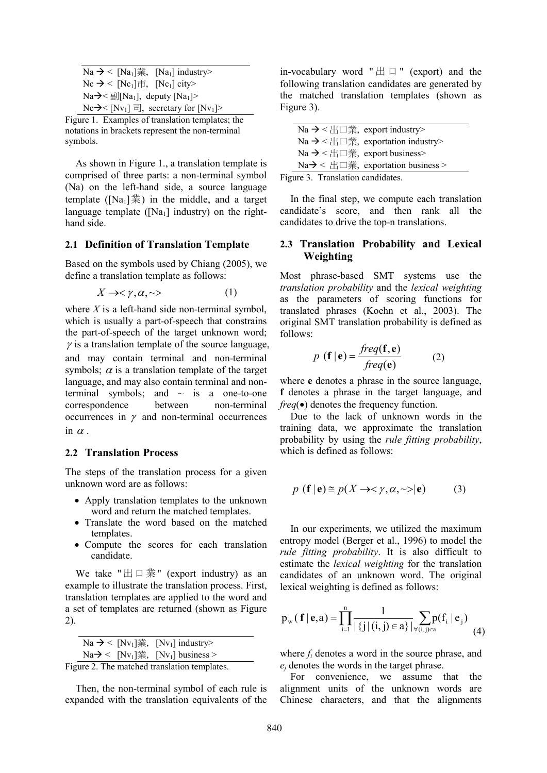| Na → < [Na <sub>1</sub> ]業, [Na <sub>1</sub> ] industry>                       |
|--------------------------------------------------------------------------------|
| $\text{Nc} \rightarrow \text{Nc}_1$ $\text{m}$ , $\text{Nc}_1$ city>           |
| $\text{Na}\rightarrow\cong$ $\mathbb{E}[\text{Na}_1]$ , deputy $\text{[Na}_1]$ |
| Nc→ $\leq$ [Nv <sub>1</sub> ] $\equiv$ ], secretary for [Nv <sub>1</sub> ]>    |

Figure 1. Examples of translation templates; the notations in brackets represent the non-terminal symbols.

As shown in Figure 1., a translation template is comprised of three parts: a non-terminal symbol (Na) on the left-hand side, a source language template ( $[Na_1]\ddot{\mathbb{R}}$ ) in the middle, and a target language template ( $[Na_1]$  industry) on the righthand side.

#### **2.1 Definition of Translation Template**

Based on the symbols used by Chiang (2005), we define a translation template as follows:

$$
X \to \lt \gamma, \alpha, \lt \gt \tag{1}
$$

where *X* is a left-hand side non-terminal symbol, which is usually a part-of-speech that constrains the part-of-speech of the target unknown word;  $\gamma$  is a translation template of the source language, and may contain terminal and non-terminal symbols;  $\alpha$  is a translation template of the target language, and may also contain terminal and nonterminal symbols; and  $\sim$  is a one-to-one correspondence between non-terminal occurrences in  $\gamma$  and non-terminal occurrences in  $\alpha$ .

#### **2.2 Translation Process**

The steps of the translation process for a given unknown word are as follows:

- Apply translation templates to the unknown word and return the matched templates.
- Translate the word based on the matched templates.
- Compute the scores for each translation candidate.

We take " $\boxplus \Box \not\equiv$ " (export industry) as an example to illustrate the translation process. First, translation templates are applied to the word and a set of templates are returned (shown as Figure 2).

|  | Na → < [Nv <sub>1</sub> ]業, [Nv <sub>1</sub> ] industry>                                                     |
|--|--------------------------------------------------------------------------------------------------------------|
|  | $\text{Na}\rightarrow\text{S}$ [Nv <sub>1</sub> ] $\ddagger\ddagger\text{S}$ , [Nv <sub>1</sub> ] business > |
|  |                                                                                                              |

```
Figure 2. The matched translation templates.
```
Then, the non-terminal symbol of each rule is expanded with the translation equivalents of the in-vocabulary word " 出 口 " (export) and the following translation candidates are generated by the matched translation templates (shown as Figure 3).

| Na → < $\pm$ $\Box$ $\frac{2}{3}$ , export industry> |                                                      |
|------------------------------------------------------|------------------------------------------------------|
|                                                      | Na → < 出口業, exportation industry>                    |
|                                                      | Na → < $\pm$ $\Box$ $\#$ , export business>          |
|                                                      | $\text{Na}\rightarrow$ < 出口業, exportation business > |
| and 2. There is the condition                        |                                                      |

Figure 3. Translation candidates.

In the final step, we compute each translation candidate's score, and then rank all the candidates to drive the top-n translations.

#### **2.3 Translation Probability and Lexical Weighting**

Most phrase-based SMT systems use the *translation probability* and the *lexical weighting* as the parameters of scoring functions for translated phrases (Koehn et al., 2003). The original SMT translation probability is defined as follows:

$$
p(\mathbf{f}|\mathbf{e}) = \frac{freq(\mathbf{f}, \mathbf{e})}{freq(\mathbf{e})}
$$
 (2)

where **e** denotes a phrase in the source language, **f** denotes a phrase in the target language, and *freq*(•) denotes the frequency function.

Due to the lack of unknown words in the training data, we approximate the translation probability by using the *rule fitting probability*, which is defined as follows:

$$
p(\mathbf{f}|\mathbf{e}) \cong p(X \to \lt \gamma, \alpha, \lt \gt |\mathbf{e}) \tag{3}
$$

In our experiments, we utilized the maximum entropy model (Berger et al., 1996) to model the *rule fitting probability*. It is also difficult to estimate the *lexical weighting* for the translation candidates of an unknown word. The original lexical weighting is defined as follows:

$$
p_{w}(f | e, a) = \prod_{i=1}^{n} \frac{1}{|\{j | (i, j) \in a\}|} \sum_{\forall (i, j) \in a} p(f_{i} | e_{j})
$$
(4)

where *fi* denotes a word in the source phrase, and *ej* denotes the words in the target phrase.

For convenience, we assume that the alignment units of the unknown words are Chinese characters, and that the alignments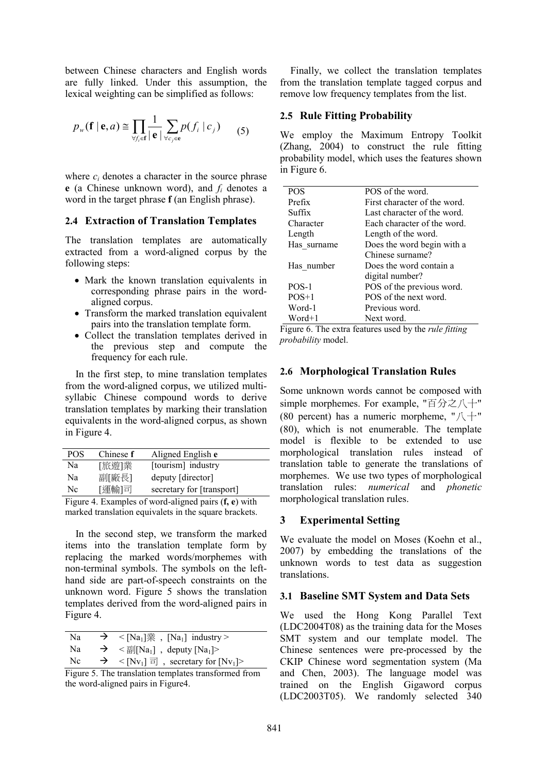between Chinese characters and English words are fully linked. Under this assumption, the lexical weighting can be simplified as follows:

$$
p_{w}(\mathbf{f} \mid \mathbf{e}, a) \cong \prod_{\forall f_i \in \mathbf{f}} \frac{1}{|\mathbf{e}|} \sum_{\forall c_j \in \mathbf{e}} p(f_i \mid c_j)
$$
 (5)

where  $c_i$  denotes a character in the source phrase **e** (a Chinese unknown word), and *fi* denotes a word in the target phrase **f** (an English phrase).

#### **2.4 Extraction of Translation Templates**

The translation templates are automatically extracted from a word-aligned corpus by the following steps:

- Mark the known translation equivalents in corresponding phrase pairs in the wordaligned corpus.
- Transform the marked translation equivalent pairs into the translation template form.
- Collect the translation templates derived in the previous step and compute the frequency for each rule.

In the first step, to mine translation templates from the word-aligned corpus, we utilized multisyllabic Chinese compound words to derive translation templates by marking their translation equivalents in the word-aligned corpus, as shown in Figure 4.

| <b>POS</b> | Chinese f | Aligned English e         |
|------------|-----------|---------------------------|
| Na         | [旅遊]業     | [tourism] industry        |
| Na         | 副[廠長]     | deputy [director]         |
| Nc         | [運輸]司     | secretary for [transport] |

Figure 4. Examples of word-aligned pairs (**f, e**) with marked translation equivalets in the square brackets.

In the second step, we transform the marked items into the translation template form by replacing the marked words/morphemes with non-terminal symbols. The symbols on the lefthand side are part-of-speech constraints on the unknown word. Figure 5 shows the translation templates derived from the word-aligned pairs in Figure 4.

| Na | $\rightarrow$ | $\langle$ [Na <sub>1</sub> ] $\ddot{\mathbb{R}}$ , [Na <sub>1</sub> ] industry >        |
|----|---------------|-----------------------------------------------------------------------------------------|
| Na |               | $\rightarrow$ < $\equiv$ $\left[\text{Na}_1\right]$ , deputy $\left[\text{Na}_1\right]$ |
| Nc |               | $\rightarrow$ < [Nv <sub>1</sub> ] $\equiv$ , secretary for [Nv <sub>1</sub> ]>         |

Figure 5. The translation templates transformed from the word-aligned pairs in Figure4.

Finally, we collect the translation templates from the translation template tagged corpus and remove low frequency templates from the list.

#### **2.5 Rule Fitting Probability**

We employ the Maximum Entropy Toolkit (Zhang, 2004) to construct the rule fitting probability model, which uses the features shown in Figure 6.

| <b>POS</b>  | POS of the word.            |
|-------------|-----------------------------|
| Prefix      | First character of the word |
| Suffix      | Last character of the word. |
| Character   | Each character of the word  |
| Length      | Length of the word.         |
| Has surname | Does the word begin with a  |
|             | Chinese surname?            |
| Has number  | Does the word contain a     |
|             | digital number?             |
| $POS-1$     | POS of the previous word.   |
| $POS+1$     | POS of the next word.       |
| Word-1      | Previous word.              |
| Word+1      | Next word.                  |
|             |                             |

Figure 6. The extra features used by the *rule fitting probability* model.

### **2.6 Morphological Translation Rules**

Some unknown words cannot be composed with simple morphemes. For example, "百分之八十" (80 percent) has a numeric morpheme, " $\Lambda$ +" (80), which is not enumerable. The template model is flexible to be extended to use morphological translation rules instead of translation table to generate the translations of morphemes. We use two types of morphological translation rules: *numerical* and *phonetic* morphological translation rules.

### **3 Experimental Setting**

We evaluate the model on Moses (Koehn et al., 2007) by embedding the translations of the unknown words to test data as suggestion translations.

### **3.1 Baseline SMT System and Data Sets**

We used the Hong Kong Parallel Text (LDC2004T08) as the training data for the Moses SMT system and our template model. The Chinese sentences were pre-processed by the CKIP Chinese word segmentation system (Ma and Chen, 2003). The language model was trained on the English Gigaword corpus (LDC2003T05). We randomly selected 340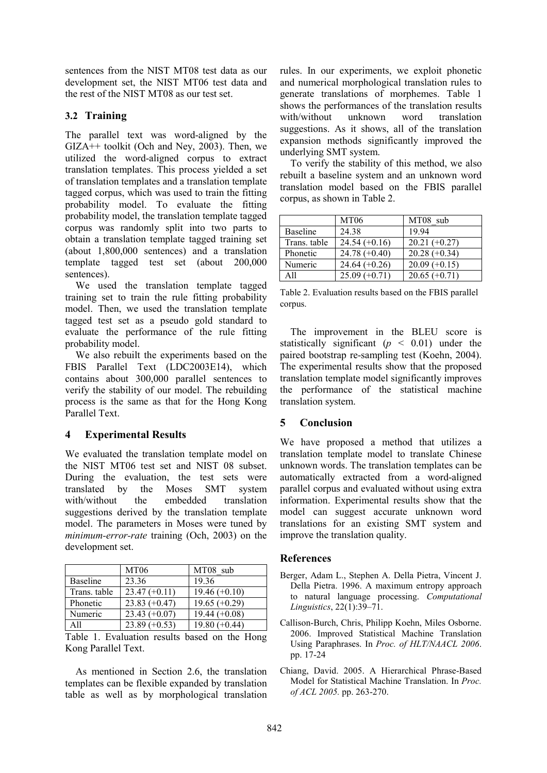sentences from the NIST MT08 test data as our development set, the NIST MT06 test data and the rest of the NIST MT08 as our test set.

## **3.2 Training**

The parallel text was word-aligned by the GIZA++ toolkit (Och and Ney, 2003). Then, we utilized the word-aligned corpus to extract translation templates. This process yielded a set of translation templates and a translation template tagged corpus, which was used to train the fitting probability model. To evaluate the fitting probability model, the translation template tagged corpus was randomly split into two parts to obtain a translation template tagged training set (about 1,800,000 sentences) and a translation template tagged test set (about 200,000 sentences).

We used the translation template tagged training set to train the rule fitting probability model. Then, we used the translation template tagged test set as a pseudo gold standard to evaluate the performance of the rule fitting probability model.

We also rebuilt the experiments based on the FBIS Parallel Text (LDC2003E14), which contains about 300,000 parallel sentences to verify the stability of our model. The rebuilding process is the same as that for the Hong Kong Parallel Text.

## **4 Experimental Results**

We evaluated the translation template model on the NIST MT06 test set and NIST 08 subset. During the evaluation, the test sets were translated by the Moses SMT system with/without the embedded translation suggestions derived by the translation template model. The parameters in Moses were tuned by *minimum-error-rate* training (Och, 2003) on the development set.

|                 | MT <sub>06</sub> | MT08 sub        |
|-----------------|------------------|-----------------|
| <b>Baseline</b> | 23.36            | 19.36           |
| Trans. table    | $23.47 (+0.11)$  | $19.46 (+0.10)$ |
| Phonetic        | $23.83 (+0.47)$  | $19.65 (+0.29)$ |
| Numeric         | $23.43 (+0.07)$  | $19.44 (+0.08)$ |
| A11             | $23.89 (+0.53)$  | $19.80 (+0.44)$ |

Table 1. Evaluation results based on the Hong Kong Parallel Text.

As mentioned in Section 2.6, the translation templates can be flexible expanded by translation table as well as by morphological translation rules. In our experiments, we exploit phonetic and numerical morphological translation rules to generate translations of morphemes. Table 1 shows the performances of the translation results with/without unknown word translation suggestions. As it shows, all of the translation expansion methods significantly improved the underlying SMT system.

To verify the stability of this method, we also rebuilt a baseline system and an unknown word translation model based on the FBIS parallel corpus, as shown in Table 2.

|                 | MT <sub>06</sub> | MT08 sub        |
|-----------------|------------------|-----------------|
| <b>Baseline</b> | 24.38            | 1994            |
| Trans. table    | $24.54(+0.16)$   | $20.21 (+0.27)$ |
| Phonetic        | $24.78(+0.40)$   | $20.28 (+0.34)$ |
| Numeric         | $24.64 (+0.26)$  | $20.09 (+0.15)$ |
| A 11            | $25.09 (+0.71)$  | $20.65 (+0.71)$ |

Table 2. Evaluation results based on the FBIS parallel corpus.

The improvement in the BLEU score is statistically significant ( $p < 0.01$ ) under the paired bootstrap re-sampling test (Koehn, 2004). The experimental results show that the proposed translation template model significantly improves the performance of the statistical machine translation system.

### **5 Conclusion**

We have proposed a method that utilizes a translation template model to translate Chinese unknown words. The translation templates can be automatically extracted from a word-aligned parallel corpus and evaluated without using extra information. Experimental results show that the model can suggest accurate unknown word translations for an existing SMT system and improve the translation quality.

### **References**

- Berger, Adam L., Stephen A. Della Pietra, Vincent J. Della Pietra. 1996. A maximum entropy approach to natural language processing. *Computational Linguistics*, 22(1):39–71.
- Callison-Burch, Chris, Philipp Koehn, Miles Osborne. 2006. Improved Statistical Machine Translation Using Paraphrases. In *Proc. of HLT/NAACL 2006*. pp. 17-24
- Chiang, David. 2005. A Hierarchical Phrase-Based Model for Statistical Machine Translation. In *Proc. of ACL 2005.* pp. 263-270.